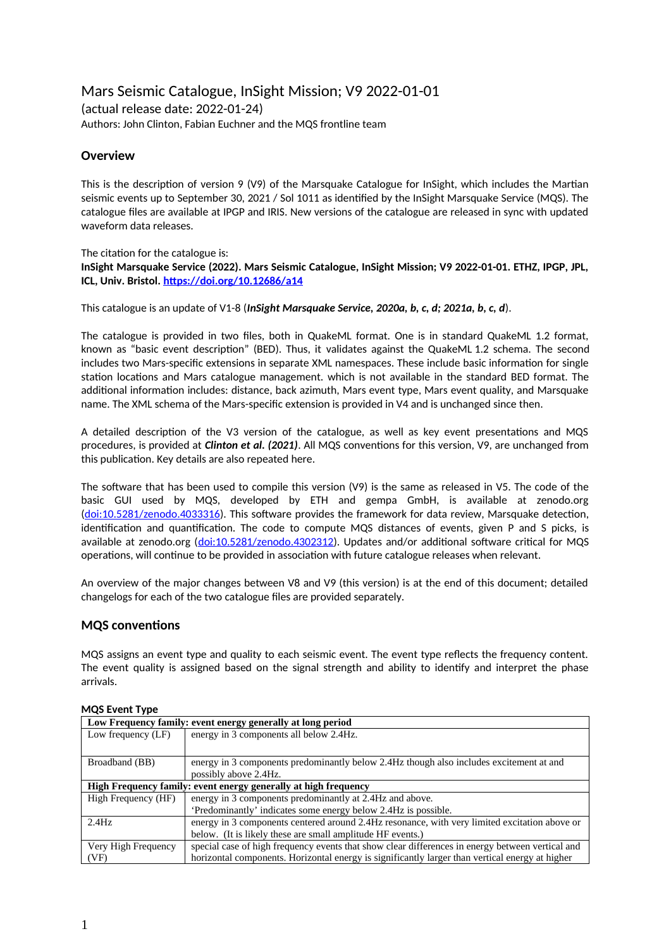# Mars Seismic Catalogue, InSight Mission; V9 2022-01-01 (actual release date: 2022-01-24) Authors: John Clinton, Fabian Euchner and the MQS frontline team

# **Overview**

This is the description of version 9 (V9) of the Marsquake Catalogue for InSight, which includes the Martian seismic events up to September 30, 2021 / Sol 1011 as identified by the InSight Marsquake Service (MQS). The catalogue files are available at IPGP and IRIS. New versions of the catalogue are released in sync with updated waveform data releases.

### The citation for the catalogue is: **InSight Marsquake Service (2022). Mars Seismic Catalogue, InSight Mission; V9 2022-01-01. ETHZ, IPGP, JPL, ICL, Univ. Bristol. <https://doi.org/10.12686/a14>**

This catalogue is an update of V1-8 (*InSight Marsquake Service, 2020a, b, c, d; 2021a, b, c, d*).

The catalogue is provided in two files, both in QuakeML format. One is in standard QuakeML 1.2 format, known as "basic event description" (BED). Thus, it validates against the QuakeML 1.2 schema. The second includes two Mars-specific extensions in separate XML namespaces. These include basic information for single station locations and Mars catalogue management. which is not available in the standard BED format. The additional information includes: distance, back azimuth, Mars event type, Mars event quality, and Marsquake name. The XML schema of the Mars-specific extension is provided in V4 and is unchanged since then.

A detailed description of the V3 version of the catalogue, as well as key event presentations and MQS procedures, is provided at *Clinton et al. (2021)*. All MQS conventions for this version, V9, are unchanged from this publication. Key details are also repeated here.

The software that has been used to compile this version (V9) is the same as released in V5. The code of the basic GUI used by MQS, developed by ETH and gempa GmbH, is available at zenodo.org [\(doi:10.5281/zenodo.4033316](https://doi.org/10.5281/zenodo.4033316)). This software provides the framework for data review, Marsquake detection, identification and quantification. The code to compute MQS distances of events, given P and S picks, is available at zenodo.org ([doi:10.5281/zenodo.4302312](https://doi.org/10.5281/zenodo.4302312)). Updates and/or additional software critical for MQS operations, will continue to be provided in association with future catalogue releases when relevant.

An overview of the major changes between V8 and V9 (this version) is at the end of this document; detailed changelogs for each of the two catalogue files are provided separately.

## **MQS conventions**

MQS assigns an event type and quality to each seismic event. The event type reflects the frequency content. The event quality is assigned based on the signal strength and ability to identify and interpret the phase arrivals.

| Low Frequency family: event energy generally at long period     |                                                                                                  |  |  |
|-----------------------------------------------------------------|--------------------------------------------------------------------------------------------------|--|--|
| Low frequency (LF)                                              | energy in 3 components all below 2.4Hz.                                                          |  |  |
|                                                                 |                                                                                                  |  |  |
| Broadband (BB)                                                  | energy in 3 components predominantly below 2.4Hz though also includes excitement at and          |  |  |
|                                                                 | possibly above 2.4Hz.                                                                            |  |  |
| High Frequency family: event energy generally at high frequency |                                                                                                  |  |  |
| High Frequency (HF)                                             | energy in 3 components predominantly at 2.4Hz and above.                                         |  |  |
|                                                                 | 'Predominantly' indicates some energy below 2.4Hz is possible.                                   |  |  |
| 2.4Hz                                                           | energy in 3 components centered around 2.4Hz resonance, with very limited excitation above or    |  |  |
|                                                                 | below. (It is likely these are small amplitude HF events.)                                       |  |  |
| Very High Frequency                                             | special case of high frequency events that show clear differences in energy between vertical and |  |  |
| (VF)                                                            | horizontal components. Horizontal energy is significantly larger than vertical energy at higher  |  |  |

### **MQS Event Type**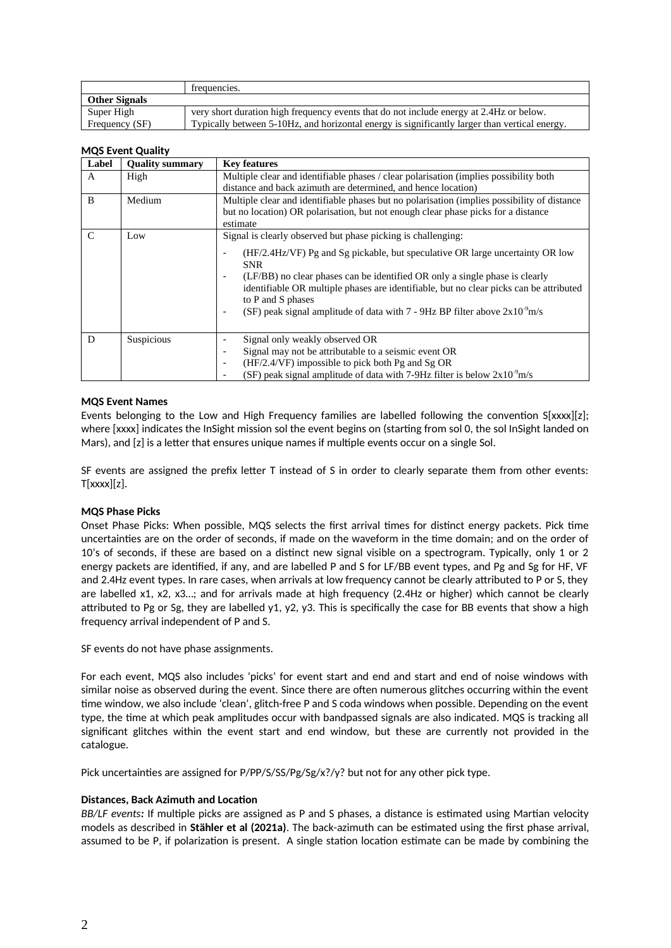|                      | trequencies.                                                                                  |
|----------------------|-----------------------------------------------------------------------------------------------|
| <b>Other Signals</b> |                                                                                               |
| Super High           | very short duration high frequency events that do not include energy at 2.4Hz or below.       |
| Frequency (SF)       | Typically between 5-10Hz, and horizontal energy is significantly larger than vertical energy. |

#### **MQS Event Quality**

| Label | <b>Quality summary</b> | <b>Key features</b>                                                                                                                                                                                                                                                                                                                                                                                                                                                              |  |  |  |  |
|-------|------------------------|----------------------------------------------------------------------------------------------------------------------------------------------------------------------------------------------------------------------------------------------------------------------------------------------------------------------------------------------------------------------------------------------------------------------------------------------------------------------------------|--|--|--|--|
| A     | High                   | Multiple clear and identifiable phases / clear polarisation (implies possibility both<br>distance and back azimuth are determined, and hence location)                                                                                                                                                                                                                                                                                                                           |  |  |  |  |
| B     | Medium                 | Multiple clear and identifiable phases but no polarisation (implies possibility of distance<br>but no location) OR polarisation, but not enough clear phase picks for a distance<br>estimate                                                                                                                                                                                                                                                                                     |  |  |  |  |
| C     | Low                    | Signal is clearly observed but phase picking is challenging:<br>(HF/2.4Hz/VF) Pg and Sg pickable, but speculative OR large uncertainty OR low<br><b>SNR</b><br>(LF/BB) no clear phases can be identified OR only a single phase is clearly<br>٠<br>identifiable OR multiple phases are identifiable, but no clear picks can be attributed<br>to P and S phases<br>(SF) peak signal amplitude of data with $7 - 9$ Hz BP filter above $2x10^{-9}$ m/s<br>$\overline{\phantom{a}}$ |  |  |  |  |
| D     | Suspicious             | Signal only weakly observed OR<br>Signal may not be attributable to a seismic event OR<br>(HF/2.4/VF) impossible to pick both Pg and Sg OR<br>$\overline{\phantom{a}}$<br>(SF) peak signal amplitude of data with 7-9Hz filter is below $2x10^{-9}$ m/s                                                                                                                                                                                                                          |  |  |  |  |

### **MQS Event Names**

Events belonging to the Low and High Frequency families are labelled following the convention S[xxxx][z]; where [xxxx] indicates the InSight mission sol the event begins on (starting from sol 0, the sol InSight landed on Mars), and [z] is a letter that ensures unique names if multiple events occur on a single Sol.

SF events are assigned the prefix letter T instead of S in order to clearly separate them from other events:  $T[xxxx][z]$ .

### **MQS Phase Picks**

Onset Phase Picks: When possible, MQS selects the first arrival times for distinct energy packets. Pick time uncertainties are on the order of seconds, if made on the waveform in the time domain; and on the order of 10's of seconds, if these are based on a distinct new signal visible on a spectrogram. Typically, only 1 or 2 energy packets are identified, if any, and are labelled P and S for LF/BB event types, and Pg and Sg for HF, VF and 2.4Hz event types. In rare cases, when arrivals at low frequency cannot be clearly attributed to P or S, they are labelled x1, x2, x3…; and for arrivals made at high frequency (2.4Hz or higher) which cannot be clearly attributed to Pg or Sg, they are labelled y1, y2, y3. This is specifically the case for BB events that show a high frequency arrival independent of P and S.

SF events do not have phase assignments.

For each event, MQS also includes 'picks' for event start and end and start and end of noise windows with similar noise as observed during the event. Since there are often numerous glitches occurring within the event time window, we also include 'clean', glitch-free P and S coda windows when possible. Depending on the event type, the time at which peak amplitudes occur with bandpassed signals are also indicated. MQS is tracking all significant glitches within the event start and end window, but these are currently not provided in the catalogue.

Pick uncertainties are assigned for P/PP/S/SS/Pg/Sg/x?/y? but not for any other pick type.

### **Distances, Back Azimuth and Location**

*BB/LF events:* If multiple picks are assigned as P and S phases, a distance is estimated using Martian velocity models as described in **Stähler et al (2021a)**. The back-azimuth can be estimated using the first phase arrival, assumed to be P, if polarization is present. A single station location estimate can be made by combining the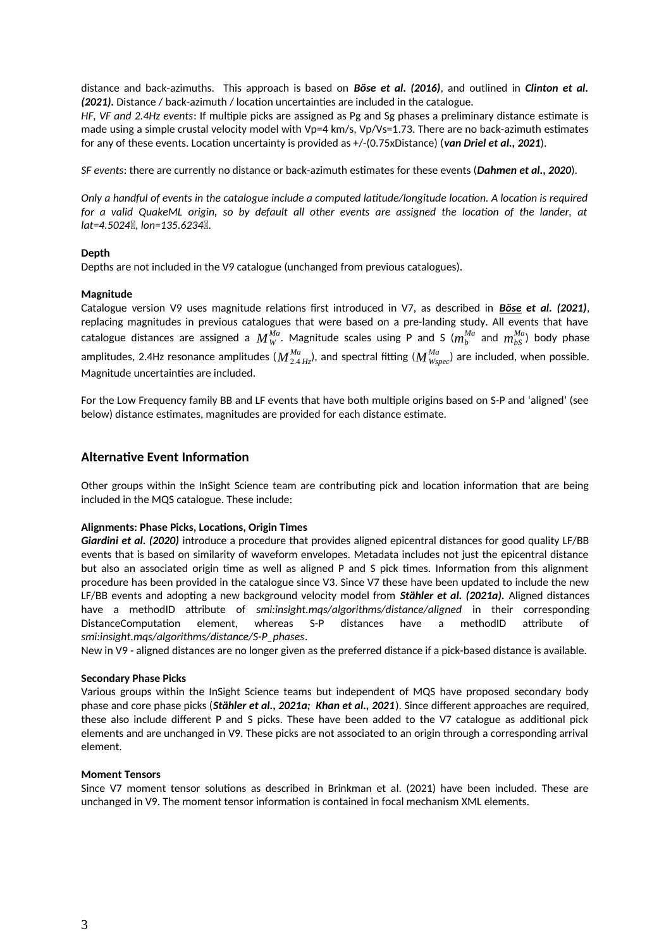distance and back-azimuths. This approach is based on *Böse et al. (2016)*, and outlined in *Clinton et al. (2021).* Distance / back-azimuth / location uncertainties are included in the catalogue.

*HF, VF and 2.4Hz events*: If multiple picks are assigned as Pg and Sg phases a preliminary distance estimate is made using a simple crustal velocity model with Vp=4 km/s, Vp/Vs=1.73. There are no back-azimuth estimates for any of these events. Location uncertainty is provided as +/-(0.75xDistance) (*van Driel et al., 2021*).

*SF events*: there are currently no distance or back-azimuth estimates for these events (*Dahmen et al., 2020*).

*Only a handful of events in the catalogue include a computed latitude/longitude location. A location is required for a valid QuakeML origin, so by default all other events are assigned the location of the lander, at lat=4.5024, lon=135.6234.*

### **Depth**

Depths are not included in the V9 catalogue (unchanged from previous catalogues).

### **Magnitude**

Catalogue version V9 uses magnitude relations first introduced in V7, as described in *Böse et al. (2021)*, replacing magnitudes in previous catalogues that were based on a pre-landing study. All events that have catalogue distances are assigned a  $M_W^{Ma}$ . Magnitude scales using P and S ( $m_b^{Ma}$  and  $m_{bS}^{Ma}$ ) body phase amplitudes, 2.4Hz resonance amplitudes ( $M^{Ma}_{2.4\,Hz}$ ), and spectral fitting ( $M^{Ma}_{Wspec}$ ) are included, when possible. Magnitude uncertainties are included.

For the Low Frequency family BB and LF events that have both multiple origins based on S-P and 'aligned' (see below) distance estimates, magnitudes are provided for each distance estimate.

## **Alternative Event Information**

Other groups within the InSight Science team are contributing pick and location information that are being included in the MQS catalogue. These include:

### **Alignments: Phase Picks, Locations, Origin Times**

*Giardini et al. (2020)* introduce a procedure that provides aligned epicentral distances for good quality LF/BB events that is based on similarity of waveform envelopes. Metadata includes not just the epicentral distance but also an associated origin time as well as aligned P and S pick times. Information from this alignment procedure has been provided in the catalogue since V3. Since V7 these have been updated to include the new LF/BB events and adopting a new background velocity model from *Stähler et al. (2021a).* Aligned distances have a methodID attribute of *smi:insight.mqs/algorithms/distance/aligned* in their corresponding DistanceComputation element, whereas S-P distances have a methodID attribute of *smi:insight.mqs/algorithms/distance/S-P\_phases*.

New in V9 - aligned distances are no longer given as the preferred distance if a pick-based distance is available.

### **Secondary Phase Picks**

Various groups within the InSight Science teams but independent of MQS have proposed secondary body phase and core phase picks (*Stähler et al., 2021a; Khan et al., 2021*). Since different approaches are required, these also include different P and S picks. These have been added to the V7 catalogue as additional pick elements and are unchanged in V9. These picks are not associated to an origin through a corresponding arrival element.

### **Moment Tensors**

Since V7 moment tensor solutions as described in Brinkman et al. (2021) have been included. These are unchanged in V9. The moment tensor information is contained in focal mechanism XML elements.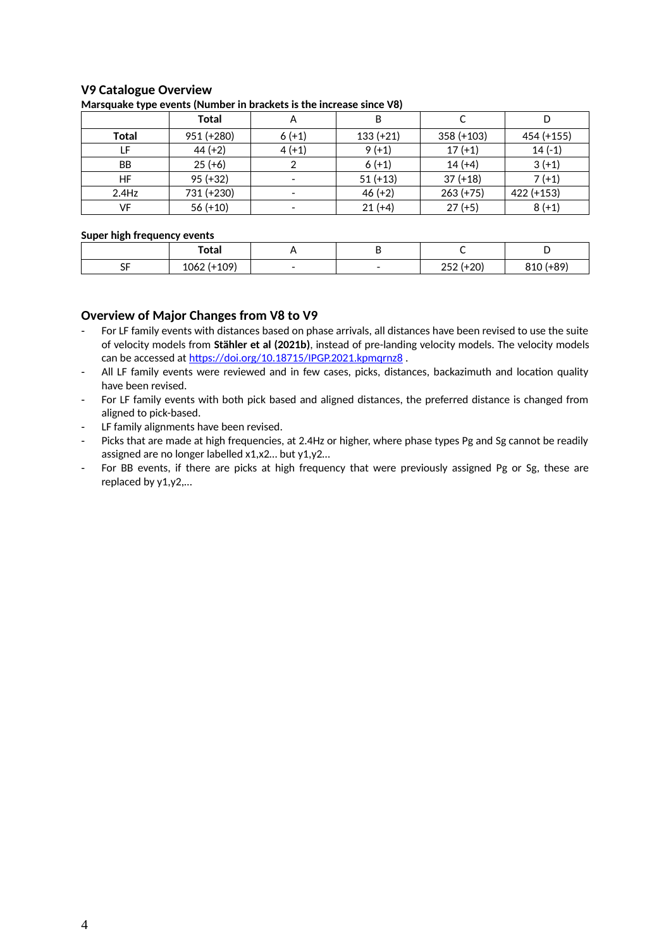# **V9 Catalogue Overview**

| . .       |            |         |             |              |            |
|-----------|------------|---------|-------------|--------------|------------|
|           | Total      | А       | B           |              |            |
| Total     | 951 (+280) | $6(+1)$ | $133 (+21)$ | $358 (+103)$ | 454 (+155) |
| LF        | $44 (+2)$  | $4(+1)$ | $9(+1)$     | $17 (+1)$    | $14(-1)$   |
| <b>BB</b> | $25 (+6)$  |         | $6(+1)$     | $14 (+4)$    | $3 (+1)$   |
| HF        | $95 (+32)$ |         | $51 (+13)$  | $37 (+18)$   | $7(+1)$    |
| $2.4$ Hz  | 731 (+230) |         | $46 (+2)$   | $263 (+75)$  | 422 (+153) |
| VF        | $56 (+10)$ |         | $21 (+4)$   | $27 (+5)$    | $8 (+1)$   |

#### **Marsquake type events (Number in brackets is the increase since V8)**

#### **Super high frequency events**

|                       | Total      |  |                                                 |                 |
|-----------------------|------------|--|-------------------------------------------------|-----------------|
| $\sim$ $-$<br>--<br>◡ | 1062<br>∸∽ |  | $\sim$<br>n r<br>∠∪<br>$\overline{\phantom{a}}$ | $\Omega$<br>◡∸◡ |

# **Overview of Major Changes from V8 to V9**

- For LF family events with distances based on phase arrivals, all distances have been revised to use the suite of velocity models from **Stähler et al (2021b)**, instead of pre-landing velocity models. The velocity models can be accessed at https://doi.org/10.18715/IPGP.2021.kpmqrnz8.
- All LF family events were reviewed and in few cases, picks, distances, backazimuth and location quality have been revised.
- For LF family events with both pick based and aligned distances, the preferred distance is changed from aligned to pick-based.
- LF family alignments have been revised.
- Picks that are made at high frequencies, at 2.4Hz or higher, where phase types Pg and Sg cannot be readily assigned are no longer labelled x1,x2… but y1,y2…
- For BB events, if there are picks at high frequency that were previously assigned Pg or Sg, these are replaced by y1,y2,…